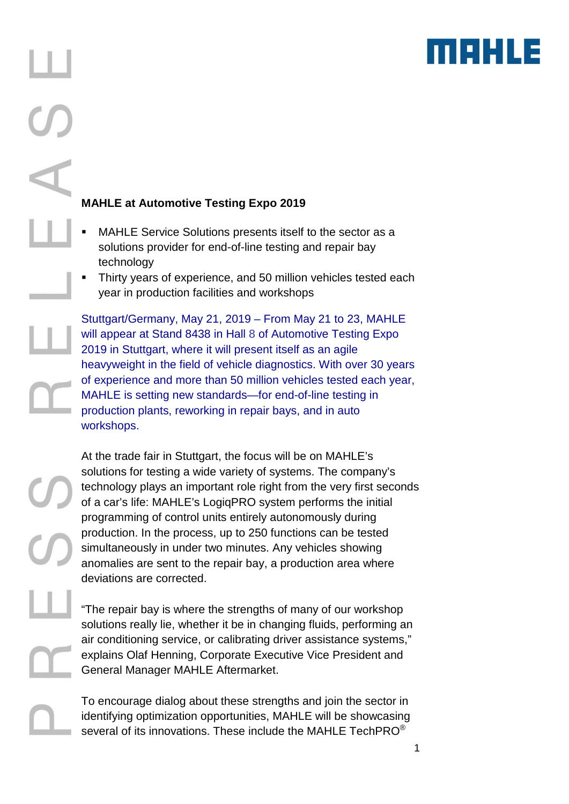

## **MAHLE at Automotive Testing Expo 2019**

- MAHLE Service Solutions presents itself to the sector as a solutions provider for end-of-line testing and repair bay technology
- Thirty years of experience, and 50 million vehicles tested each year in production facilities and workshops

Stuttgart/Germany, May 21, 2019 – From May 21 to 23, MAHLE will appear at Stand 8438 in Hall 8 of Automotive Testing Expo 2019 in Stuttgart, where it will present itself as an agile heavyweight in the field of vehicle diagnostics. With over 30 years of experience and more than 50 million vehicles tested each year, MAHLE is setting new standards—for end-of-line testing in production plants, reworking in repair bays, and in auto workshops.

At the trade fair in Stuttgart, the focus will be on MAHLE's solutions for testing a wide variety of systems. The company's technology plays an important role right from the very first seconds of a car's life: MAHLE's LogiqPRO system performs the initial programming of control units entirely autonomously during production. In the process, up to 250 functions can be tested simultaneously in under two minutes. Any vehicles showing anomalies are sent to the repair bay, a production area where deviations are corrected.

"The repair bay is where the strengths of many of our workshop solutions really lie, whether it be in changing fluids, performing an air conditioning service, or calibrating driver assistance systems," explains Olaf Henning, Corporate Executive Vice President and General Manager MAHLE Aftermarket.

To encourage dialog about these strengths and join the sector in identifying optimization opportunities, MAHLE will be showcasing several of its innovations. These include the MAHLE TechPRO $^{\circ}$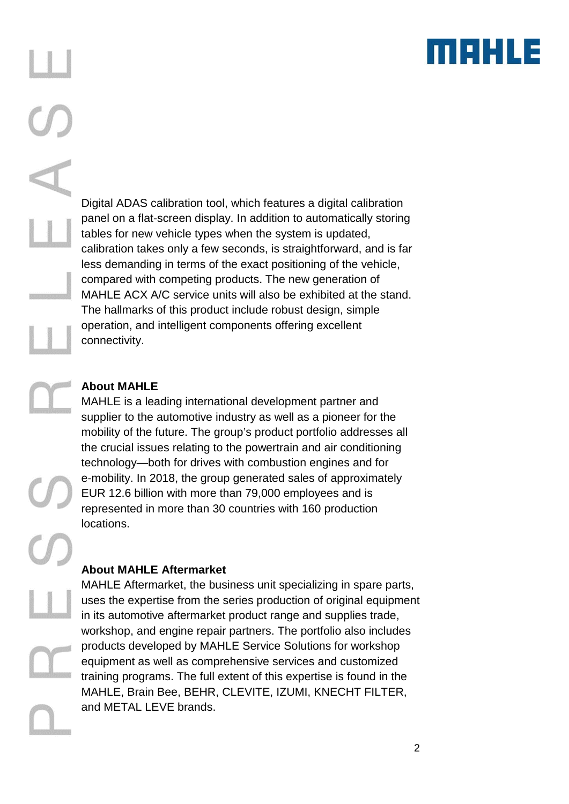

Digital ADAS calibration tool, which features a digital calibration panel on a flat-screen display. In addition to automatically storing tables for new vehicle types when the system is updated, calibration takes only a few seconds, is straightforward, and is far less demanding in terms of the exact positioning of the vehicle, compared with competing products. The new generation of MAHLE ACX A/C service units will also be exhibited at the stand. The hallmarks of this product include robust design, simple operation, and intelligent components offering excellent connectivity.

## **About MAHLE**

MAHLE is a leading international development partner and supplier to the automotive industry as well as a pioneer for the mobility of the future. The group's product portfolio addresses all the crucial issues relating to the powertrain and air conditioning technology—both for drives with combustion engines and for e-mobility. In 2018, the group generated sales of approximately EUR 12.6 billion with more than 79,000 employees and is represented in more than 30 countries with 160 production locations.

## **About MAHLE Aftermarket**

MAHLE Aftermarket, the business unit specializing in spare parts, uses the expertise from the series production of original equipment in its automotive aftermarket product range and supplies trade, workshop, and engine repair partners. The portfolio also includes products developed by MAHLE Service Solutions for workshop equipment as well as comprehensive services and customized training programs. The full extent of this expertise is found in the MAHLE, Brain Bee, BEHR, CLEVITE, IZUMI, KNECHT FILTER, and METAL LEVE brands.